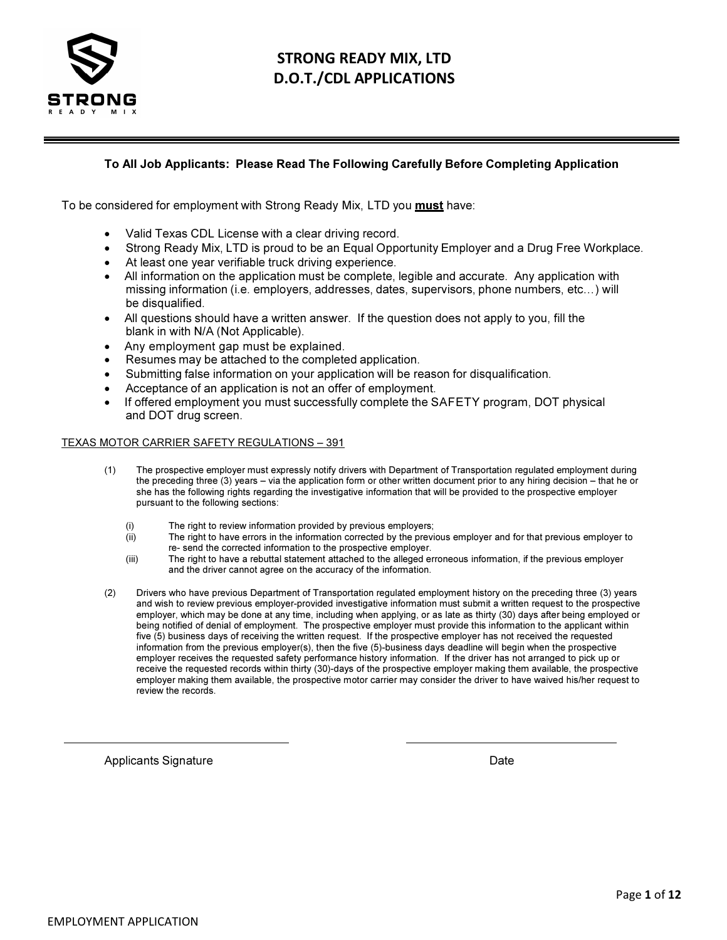

# STRONG READY MIX, LTD D.O.T./CDL APPLICATIONS

#### To All Job Applicants: Please Read The Following Carefully Before Completing Application

To be considered for employment with Strong Ready Mix, LTD you **must** have:

- Valid Texas CDL License with a clear driving record.
- Strong Ready Mix, LTD is proud to be an Equal Opportunity Employer and a Drug Free Workplace.
- At least one year verifiable truck driving experience.
- All information on the application must be complete, legible and accurate. Any application with missing information (i.e. employers, addresses, dates, supervisors, phone numbers, etc…) will be disqualified.
- All questions should have a written answer. If the question does not apply to you, fill the blank in with N/A (Not Applicable).
- Any employment gap must be explained.
- Resumes may be attached to the completed application.
- Submitting false information on your application will be reason for disqualification.
- Acceptance of an application is not an offer of employment.
- If offered employment you must successfully complete the SAFETY program, DOT physical and DOT drug screen.

#### TEXAS MOTOR CARRIER SAFETY REGULATIONS – 391

- (1) The prospective employer must expressly notify drivers with Department of Transportation regulated employment during the preceding three (3) years – via the application form or other written document prior to any hiring decision – that he or she has the following rights regarding the investigative information that will be provided to the prospective employer pursuant to the following sections:
	- (i) The right to review information provided by previous employers;<br>(ii) The right to have errors in the information corrected by the previ
	- The right to have errors in the information corrected by the previous employer and for that previous employer to re- send the corrected information to the prospective employer.
	- (iii) The right to have a rebuttal statement attached to the alleged erroneous information, if the previous employer and the driver cannot agree on the accuracy of the information.
- (2) Drivers who have previous Department of Transportation regulated employment history on the preceding three (3) years and wish to review previous employer-provided investigative information must submit a written request to the prospective employer, which may be done at any time, including when applying, or as late as thirty (30) days after being employed or being notified of denial of employment. The prospective employer must provide this information to the applicant within five (5) business days of receiving the written request. If the prospective employer has not received the requested information from the previous employer(s), then the five (5)-business days deadline will begin when the prospective employer receives the requested safety performance history information. If the driver has not arranged to pick up or receive the requested records within thirty (30)-days of the prospective employer making them available, the prospective employer making them available, the prospective motor carrier may consider the driver to have waived his/her request to review the records.

Applicants Signature **Date** Date of **Date** Date of *Date* Date of *Date* Date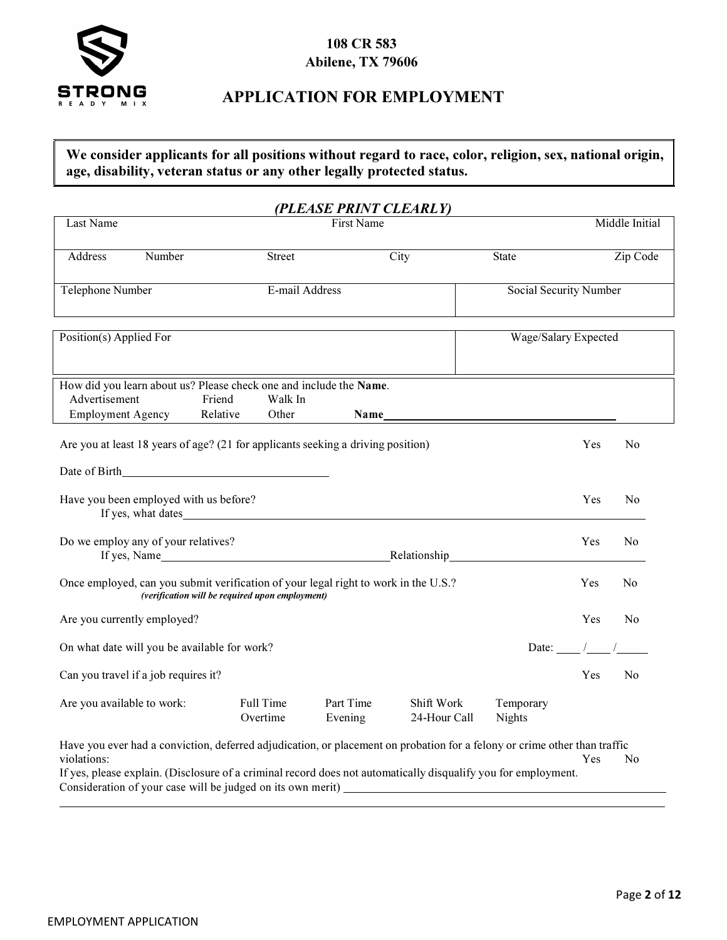

## 108 CR 583 Abilene, TX 79606

## APPLICATION FOR EMPLOYMENT

## We consider applicants for all positions without regard to race, color, religion, sex, national origin, age, disability, veteran status or any other legally protected status.

|                                                                                                                                                                                                                                                                                                                           |                                                 |                  | (PLEASE PRINT CLEARLY) |                            |                            |                           |                |
|---------------------------------------------------------------------------------------------------------------------------------------------------------------------------------------------------------------------------------------------------------------------------------------------------------------------------|-------------------------------------------------|------------------|------------------------|----------------------------|----------------------------|---------------------------|----------------|
| Last Name                                                                                                                                                                                                                                                                                                                 |                                                 |                  | <b>First Name</b>      |                            |                            |                           | Middle Initial |
| Number<br>Address                                                                                                                                                                                                                                                                                                         |                                                 | <b>Street</b>    |                        | $\overline{C}$ ity         | <b>State</b>               |                           | Zip Code       |
| Telephone Number                                                                                                                                                                                                                                                                                                          |                                                 | E-mail Address   |                        |                            | Social Security Number     |                           |                |
| Position(s) Applied For                                                                                                                                                                                                                                                                                                   |                                                 |                  |                        |                            | Wage/Salary Expected       |                           |                |
| How did you learn about us? Please check one and include the Name.<br>Advertisement<br><b>Employment Agency</b>                                                                                                                                                                                                           | Friend<br>Relative                              | Walk In<br>Other | Name                   |                            |                            |                           |                |
| Are you at least 18 years of age? (21 for applicants seeking a driving position)                                                                                                                                                                                                                                          |                                                 |                  |                        |                            |                            | Yes                       | No             |
|                                                                                                                                                                                                                                                                                                                           |                                                 |                  |                        |                            |                            |                           |                |
| Have you been employed with us before?<br>If yes, what dates                                                                                                                                                                                                                                                              |                                                 |                  |                        |                            |                            | Yes                       | N <sub>0</sub> |
| Do we employ any of your relatives?<br>If yes, Name <b>Name Name If yes, Name If yes, Name If yes, Name If yes, Name If yes, Name If yes, Name If yes, Name If yes, Name If yes, Name If yes, Name If yes, Name If yes, Name If yes, Name If yes, Name If yes, Name I</b>                                                 |                                                 |                  |                        |                            |                            | Yes                       | N <sub>0</sub> |
| Once employed, can you submit verification of your legal right to work in the U.S.?                                                                                                                                                                                                                                       | (verification will be required upon employment) |                  |                        |                            |                            | Yes                       | No             |
| Are you currently employed?                                                                                                                                                                                                                                                                                               |                                                 |                  |                        |                            |                            | Yes                       | N <sub>0</sub> |
| On what date will you be available for work?                                                                                                                                                                                                                                                                              |                                                 |                  |                        |                            |                            | Date: $\_\_\_\_\_\_\_\_\$ |                |
| Can you travel if a job requires it?                                                                                                                                                                                                                                                                                      |                                                 |                  |                        |                            |                            | Yes                       | No             |
| Are you available to work:                                                                                                                                                                                                                                                                                                | Full Time<br>Overtime                           |                  | Part Time<br>Evening   | Shift Work<br>24-Hour Call | Temporary<br><b>Nights</b> |                           |                |
| Have you ever had a conviction, deferred adjudication, or placement on probation for a felony or crime other than traffic<br>violations:<br>If yes, please explain. (Disclosure of a criminal record does not automatically disqualify you for employment.<br>Consideration of your case will be judged on its own merit) |                                                 |                  |                        |                            |                            | Yes                       | No             |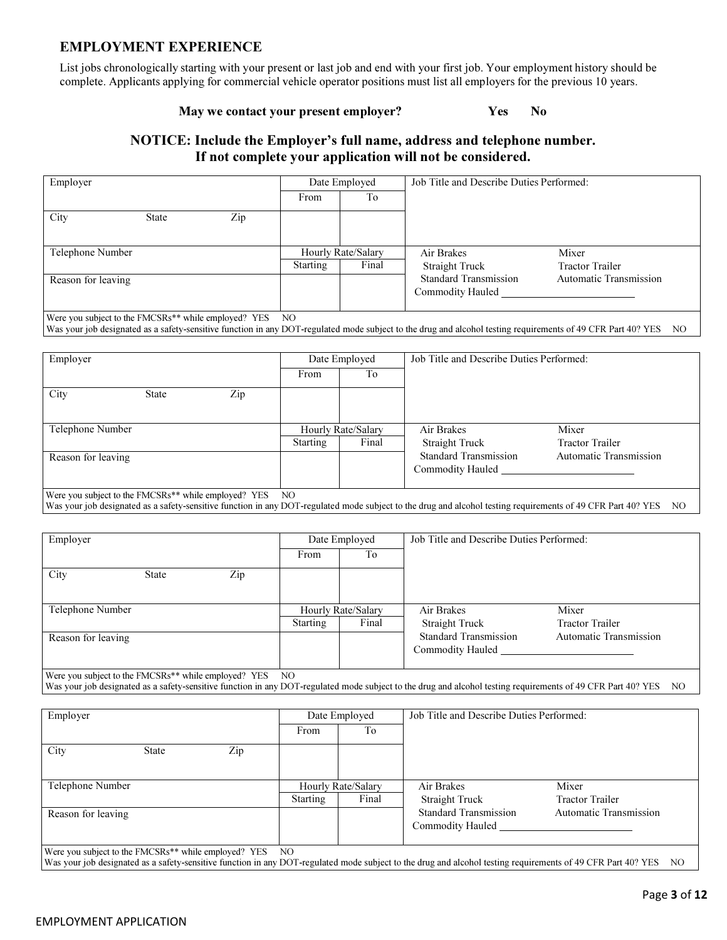#### EMPLOYMENT EXPERIENCE

List jobs chronologically starting with your present or last job and end with your first job. Your employment history should be complete. Applicants applying for commercial vehicle operator positions must list all employers for the previous 10 years.

#### May we contact your present employer? Yes No

## NOTICE: Include the Employer's full name, address and telephone number. If not complete your application will not be considered.

| Employer           |              |     |                 | Date Employed                                    | Job Title and Describe Duties Performed:         |                                                                                                                                                                 |  |
|--------------------|--------------|-----|-----------------|--------------------------------------------------|--------------------------------------------------|-----------------------------------------------------------------------------------------------------------------------------------------------------------------|--|
|                    |              |     | From            | T <sub>o</sub>                                   |                                                  |                                                                                                                                                                 |  |
| City               | <b>State</b> | Zip |                 |                                                  |                                                  |                                                                                                                                                                 |  |
| Telephone Number   |              |     |                 | Hourly Rate/Salary                               | Air Brakes                                       | Mixer                                                                                                                                                           |  |
|                    |              |     | <b>Starting</b> | Final                                            | <b>Straight Truck</b>                            | <b>Tractor Trailer</b>                                                                                                                                          |  |
| Reason for leaving |              |     |                 | <b>Standard Transmission</b><br>Commodity Hauled | <b>Automatic Transmission</b>                    |                                                                                                                                                                 |  |
| Employer           |              |     |                 | Date Employed                                    | Job Title and Describe Duties Performed:         | Was your job designated as a safety-sensitive function in any DOT-regulated mode subject to the drug and alcohol testing requirements of 49 CFR Part 40? YES NO |  |
|                    |              |     | From            | To                                               |                                                  |                                                                                                                                                                 |  |
| City               | <b>State</b> | Zip |                 |                                                  |                                                  |                                                                                                                                                                 |  |
| Telephone Number   |              |     |                 | Hourly Rate/Salary                               | Air Brakes                                       | Mixer                                                                                                                                                           |  |
|                    |              |     | <b>Starting</b> | Final                                            | <b>Straight Truck</b>                            | <b>Tractor Trailer</b>                                                                                                                                          |  |
| Reason for leaving |              |     |                 |                                                  | <b>Standard Transmission</b><br>Commodity Hauled | <b>Automatic Transmission</b>                                                                                                                                   |  |

Were you subject to the FMCSRs\*\* while employed? YES NO

Was your job designated as a safety-sensitive function in any DOT-regulated mode subject to the drug and alcohol testing requirements of 49 CFR Part 40? YES NO

| Employer             |     | Date Employed |                    | Job Title and Describe Duties Performed:         |                               |  |
|----------------------|-----|---------------|--------------------|--------------------------------------------------|-------------------------------|--|
|                      |     | From          | To                 |                                                  |                               |  |
| City<br><b>State</b> | Zip |               |                    |                                                  |                               |  |
| Telephone Number     |     |               | Hourly Rate/Salary | Air Brakes                                       | Mixer                         |  |
|                      |     | Starting      | Final              | <b>Straight Truck</b>                            | <b>Tractor Trailer</b>        |  |
| Reason for leaving   |     |               |                    | <b>Standard Transmission</b><br>Commodity Hauled | <b>Automatic Transmission</b> |  |

Were you subject to the FMCSRs\*\* while employed? YES NO Was your job designated as a safety-sensitive function in any DOT-regulated mode subject to the drug and alcohol testing requirements of 49 CFR Part 40? YES NO

| Employer                                                         |              |     |          | Date Employed      | Job Title and Describe Duties Performed: |                               |  |
|------------------------------------------------------------------|--------------|-----|----------|--------------------|------------------------------------------|-------------------------------|--|
|                                                                  |              |     | From     | To                 |                                          |                               |  |
| City                                                             | <b>State</b> | Zip |          |                    |                                          |                               |  |
| Telephone Number                                                 |              |     |          | Hourly Rate/Salary | Air Brakes                               | Mixer                         |  |
|                                                                  |              |     | Starting | Final              | Straight Truck                           | <b>Tractor Trailer</b>        |  |
| Reason for leaving                                               |              |     |          |                    | <b>Standard Transmission</b>             | <b>Automatic Transmission</b> |  |
|                                                                  |              |     |          |                    | Commodity Hauled                         |                               |  |
|                                                                  |              |     |          |                    |                                          |                               |  |
| Were you subject to the FMCSRs <sup>**</sup> while employed? YES |              |     | NO.      |                    |                                          |                               |  |

Was your job designated as a safety-sensitive function in any DOT-regulated mode subject to the drug and alcohol testing requirements of 49 CFR Part 40? YES NO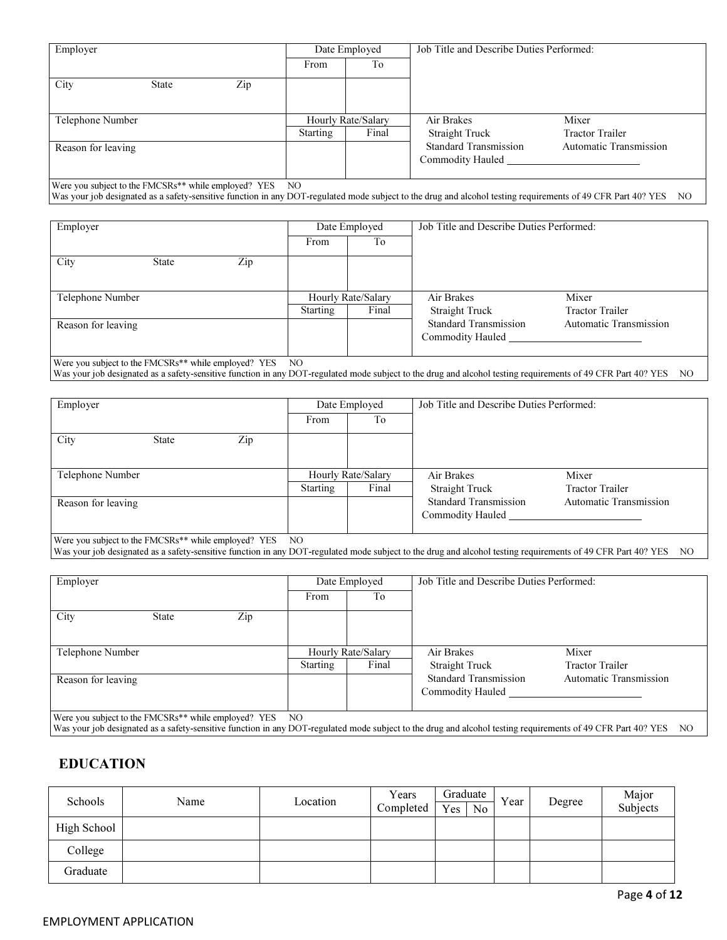| Employer                                                         |              |     | Date Employed |                    | Job Title and Describe Duties Performed:                                                                                                                     |                               |  |
|------------------------------------------------------------------|--------------|-----|---------------|--------------------|--------------------------------------------------------------------------------------------------------------------------------------------------------------|-------------------------------|--|
|                                                                  |              |     | From          | To                 |                                                                                                                                                              |                               |  |
| City                                                             | <b>State</b> | Zip |               |                    |                                                                                                                                                              |                               |  |
| Telephone Number                                                 |              |     |               | Hourly Rate/Salary | Air Brakes                                                                                                                                                   | Mixer                         |  |
|                                                                  |              |     | Starting      | Final              | Straight Truck                                                                                                                                               | <b>Tractor Trailer</b>        |  |
| Reason for leaving                                               |              |     |               |                    | <b>Standard Transmission</b>                                                                                                                                 | <b>Automatic Transmission</b> |  |
|                                                                  |              |     |               |                    | Commodity Hauled                                                                                                                                             |                               |  |
|                                                                  |              |     |               |                    |                                                                                                                                                              |                               |  |
| Were you subject to the FMCSRs <sup>**</sup> while employed? YES |              |     | NO.           |                    |                                                                                                                                                              |                               |  |
|                                                                  |              |     |               |                    | Was your job designated as a safety-sensitive function in any DOT-regulated mode subject to the drug and alcohol testing requirements of 49 CFR Part 40? YES | NO.                           |  |

| Date Employed |       | Job Title and Describe Duties Performed:         |                               |  |
|---------------|-------|--------------------------------------------------|-------------------------------|--|
| From          | To    |                                                  |                               |  |
|               |       |                                                  |                               |  |
|               |       |                                                  |                               |  |
|               |       | Air Brakes                                       | Mixer                         |  |
| Starting      | Final | <b>Straight Truck</b>                            | <b>Tractor Trailer</b>        |  |
|               |       | <b>Standard Transmission</b><br>Commodity Hauled | <b>Automatic Transmission</b> |  |
|               |       | Hourly Rate/Salary                               |                               |  |

Were you subject to the FMCSRs\*\* while employed? YES NO Was your job designated as a safety-sensitive function in any DOT-regulated mode subject to the drug and alcohol testing requirements of 49 CFR Part 40? YES NO

| Employer                                             |       |     | Date Employed  |                    | Job Title and Describe Duties Performed: |                               |  |
|------------------------------------------------------|-------|-----|----------------|--------------------|------------------------------------------|-------------------------------|--|
|                                                      |       |     | From           | Tо                 |                                          |                               |  |
| City                                                 | State | Zip |                |                    |                                          |                               |  |
|                                                      |       |     |                |                    |                                          |                               |  |
| Telephone Number                                     |       |     |                | Hourly Rate/Salary | Air Brakes                               | Mixer                         |  |
|                                                      |       |     | Starting       | Final              | <b>Straight Truck</b>                    | <b>Tractor Trailer</b>        |  |
| Reason for leaving                                   |       |     |                |                    | <b>Standard Transmission</b>             | <b>Automatic Transmission</b> |  |
|                                                      |       |     |                |                    | Commodity Hauled                         |                               |  |
| Were you subject to the EMCSRs** while employed? VES |       |     | $\overline{M}$ |                    |                                          |                               |  |

while employed? YES NO

Was your job designated as a safety-sensitive function in any DOT-regulated mode subject to the drug and alcohol testing requirements of 49 CFR Part 40? YES NO

| Employer                                                         | Date Employed   |                    | Job Title and Describe Duties Performed:         |                               |  |
|------------------------------------------------------------------|-----------------|--------------------|--------------------------------------------------|-------------------------------|--|
|                                                                  | From            | T <sub>o</sub>     |                                                  |                               |  |
| City<br>Zip<br><b>State</b>                                      |                 |                    |                                                  |                               |  |
| Telephone Number                                                 |                 | Hourly Rate/Salary | Air Brakes                                       | Mixer                         |  |
|                                                                  | <b>Starting</b> | Final              | <b>Straight Truck</b>                            | <b>Tractor Trailer</b>        |  |
| Reason for leaving                                               |                 |                    | <b>Standard Transmission</b><br>Commodity Hauled | <b>Automatic Transmission</b> |  |
| Were you subject to the EMCSRs <sup>**</sup> while employed? VES | $\overline{M}$  |                    |                                                  |                               |  |

Were you subject to the FMCSRs\*\* while employed? YES NO

Was your job designated as a safety-sensitive function in any DOT-regulated mode subject to the drug and alcohol testing requirements of 49 CFR Part 40? YES NO

## EDUCATION

| Schools     | Name | Location | Years<br>Completed | Graduate<br>No<br>Yes | Year | Degree | Major<br>Subjects |
|-------------|------|----------|--------------------|-----------------------|------|--------|-------------------|
| High School |      |          |                    |                       |      |        |                   |
| College     |      |          |                    |                       |      |        |                   |
| Graduate    |      |          |                    |                       |      |        |                   |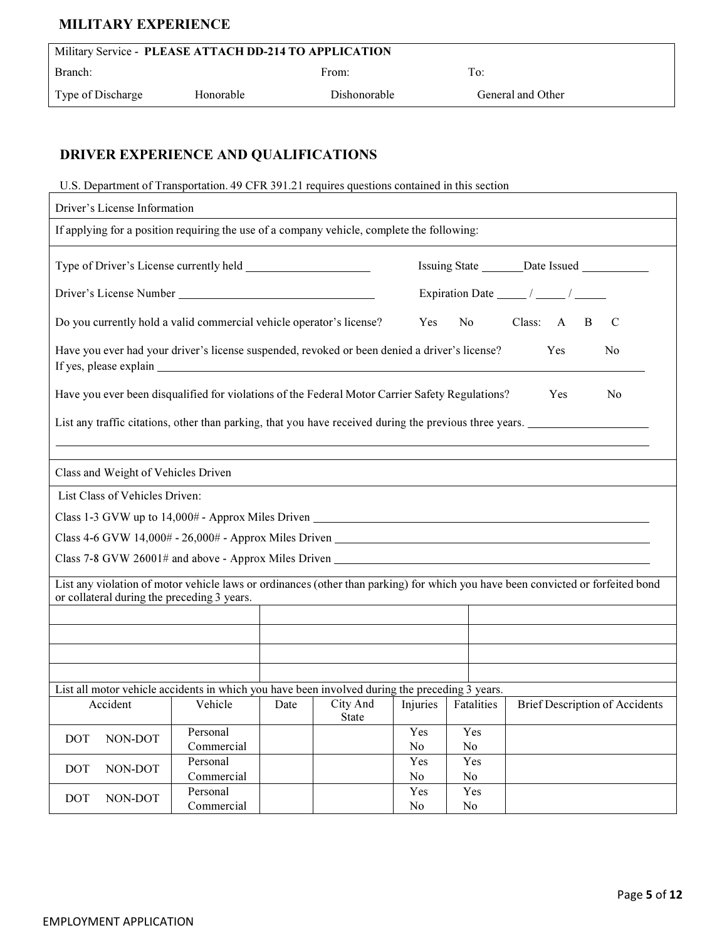## MILITARY EXPERIENCE

| Military Service - PLEASE ATTACH DD-214 TO APPLICATION |                  |                     |                   |  |  |  |  |
|--------------------------------------------------------|------------------|---------------------|-------------------|--|--|--|--|
| Branch:                                                |                  | From:               | To:               |  |  |  |  |
| Type of Discharge                                      | <b>Honorable</b> | <b>Dishonorable</b> | General and Other |  |  |  |  |

# DRIVER EXPERIENCE AND QUALIFICATIONS

#### U.S. Department of Transportation. 49 CFR 391.21 requires questions contained in this section

| Driver's License Information                                                                                                                                                   |                                                                                            |      |              |                  |                |                                         |    |  |
|--------------------------------------------------------------------------------------------------------------------------------------------------------------------------------|--------------------------------------------------------------------------------------------|------|--------------|------------------|----------------|-----------------------------------------|----|--|
|                                                                                                                                                                                | If applying for a position requiring the use of a company vehicle, complete the following: |      |              |                  |                |                                         |    |  |
|                                                                                                                                                                                |                                                                                            |      |              |                  |                |                                         |    |  |
| Driver's License Number Number                                                                                                                                                 |                                                                                            |      |              |                  |                | Expiration Date $\frac{1}{\sqrt{2\pi}}$ |    |  |
| Do you currently hold a valid commercial vehicle operator's license?                                                                                                           |                                                                                            |      |              | Yes              |                | No Class: A<br>$\overline{B}$           | C  |  |
| Have you ever had your driver's license suspended, revoked or been denied a driver's license?<br>Yes<br>N <sub>0</sub><br>If yes, please explain                               |                                                                                            |      |              |                  |                |                                         |    |  |
| Have you ever been disqualified for violations of the Federal Motor Carrier Safety Regulations?                                                                                |                                                                                            |      |              |                  |                | Yes                                     | No |  |
| List any traffic citations, other than parking, that you have received during the previous three years.                                                                        |                                                                                            |      |              |                  |                |                                         |    |  |
| Class and Weight of Vehicles Driven                                                                                                                                            |                                                                                            |      |              |                  |                |                                         |    |  |
|                                                                                                                                                                                |                                                                                            |      |              |                  |                |                                         |    |  |
| List Class of Vehicles Driven:                                                                                                                                                 |                                                                                            |      |              |                  |                |                                         |    |  |
|                                                                                                                                                                                |                                                                                            |      |              |                  |                |                                         |    |  |
| Class 4-6 GVW $14,000# - 26,000# -$ Approx Miles Driven                                                                                                                        |                                                                                            |      |              |                  |                |                                         |    |  |
|                                                                                                                                                                                |                                                                                            |      |              |                  |                |                                         |    |  |
| List any violation of motor vehicle laws or ordinances (other than parking) for which you have been convicted or forfeited bond<br>or collateral during the preceding 3 years. |                                                                                            |      |              |                  |                |                                         |    |  |
|                                                                                                                                                                                |                                                                                            |      |              |                  |                |                                         |    |  |
|                                                                                                                                                                                |                                                                                            |      |              |                  |                |                                         |    |  |
|                                                                                                                                                                                |                                                                                            |      |              |                  |                |                                         |    |  |
|                                                                                                                                                                                |                                                                                            |      |              |                  |                |                                         |    |  |
| List all motor vehicle accidents in which you have been involved during the preceding 3 years.                                                                                 |                                                                                            |      |              |                  |                |                                         |    |  |
| Accident                                                                                                                                                                       | Vehicle                                                                                    | Date | City And     | Injuries         | Fatalities     | <b>Brief Description of Accidents</b>   |    |  |
|                                                                                                                                                                                |                                                                                            |      | <b>State</b> |                  |                |                                         |    |  |
| <b>DOT</b><br>NON-DOT                                                                                                                                                          | Personal                                                                                   |      |              | <b>Yes</b>       | Yes            |                                         |    |  |
|                                                                                                                                                                                | Commercial                                                                                 |      |              | No               | No.            |                                         |    |  |
| NON-DOT<br><b>DOT</b>                                                                                                                                                          | Personal<br>Commercial                                                                     |      |              | <b>Yes</b><br>No | Yes<br>No      |                                         |    |  |
|                                                                                                                                                                                | Personal                                                                                   |      |              | Yes              | Yes            |                                         |    |  |
| <b>DOT</b><br>NON-DOT                                                                                                                                                          | Commercial                                                                                 |      |              | No               | N <sub>0</sub> |                                         |    |  |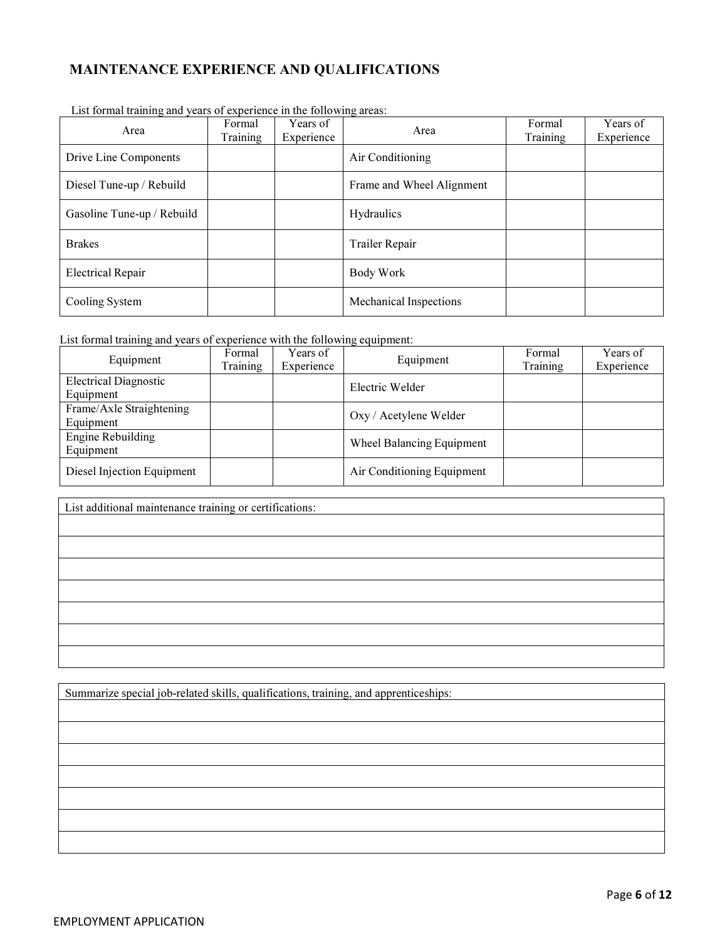## MAINTENANCE EXPERIENCE AND QUALIFICATIONS

| Area                       | Formal<br>Training | Years of<br>Experience | Area                          | Formal<br>Training | Years of<br>Experience |
|----------------------------|--------------------|------------------------|-------------------------------|--------------------|------------------------|
| Drive Line Components      |                    |                        | Air Conditioning              |                    |                        |
| Diesel Tune-up / Rebuild   |                    |                        | Frame and Wheel Alignment     |                    |                        |
| Gasoline Tune-up / Rebuild |                    |                        | Hydraulics                    |                    |                        |
| <b>Brakes</b>              |                    |                        | Trailer Repair                |                    |                        |
| <b>Electrical Repair</b>   |                    |                        | Body Work                     |                    |                        |
| Cooling System             |                    |                        | <b>Mechanical Inspections</b> |                    |                        |

List formal training and years of experience in the following areas:

List formal training and years of experience with the following equipment:

| Equipment                                 | Formal<br>Training | Years of<br>Experience | Equipment                  | Formal<br>Training | Years of<br>Experience |
|-------------------------------------------|--------------------|------------------------|----------------------------|--------------------|------------------------|
| <b>Electrical Diagnostic</b><br>Equipment |                    |                        | Electric Welder            |                    |                        |
| Frame/Axle Straightening<br>Equipment     |                    |                        | Oxy / Acetylene Welder     |                    |                        |
| <b>Engine Rebuilding</b><br>Equipment     |                    |                        | Wheel Balancing Equipment  |                    |                        |
| Diesel Injection Equipment                |                    |                        | Air Conditioning Equipment |                    |                        |

| List additional maintenance training or certifications: |  |  |
|---------------------------------------------------------|--|--|
|                                                         |  |  |
|                                                         |  |  |
|                                                         |  |  |
|                                                         |  |  |
|                                                         |  |  |
|                                                         |  |  |
|                                                         |  |  |
|                                                         |  |  |

Summarize special job-related skills, qualifications, training, and apprenticeships: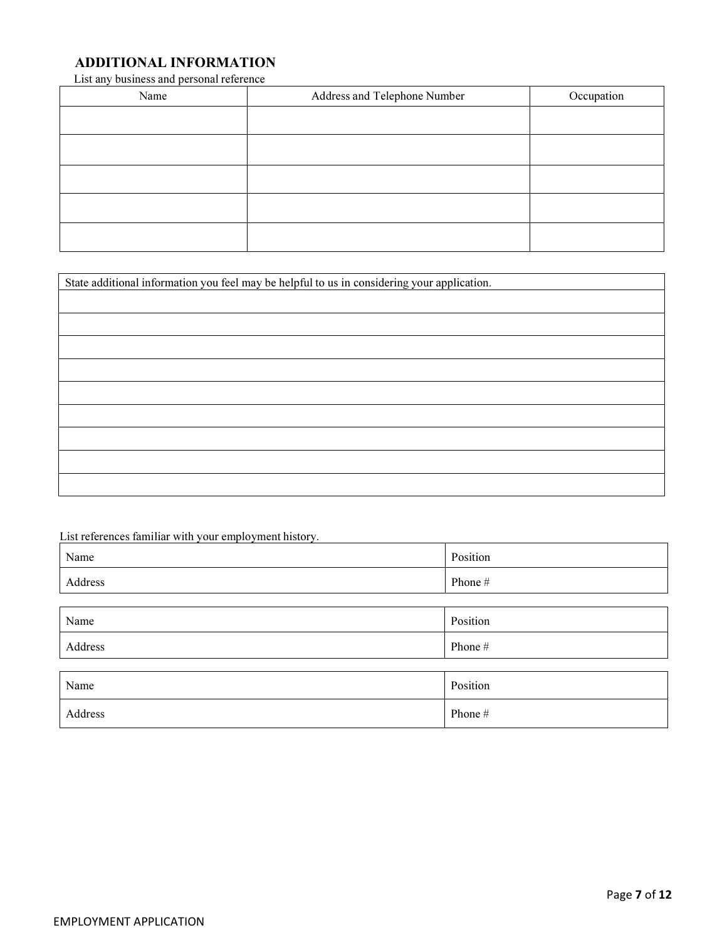## ADDITIONAL INFORMATION

List any business and personal reference

| Name | Address and Telephone Number | Occupation |
|------|------------------------------|------------|
|      |                              |            |
|      |                              |            |
|      |                              |            |
|      |                              |            |
|      |                              |            |

| State additional information you feel may be helpful to us in considering your application. |  |  |
|---------------------------------------------------------------------------------------------|--|--|
|                                                                                             |  |  |
|                                                                                             |  |  |
|                                                                                             |  |  |
|                                                                                             |  |  |
|                                                                                             |  |  |
|                                                                                             |  |  |
|                                                                                             |  |  |
|                                                                                             |  |  |
|                                                                                             |  |  |
|                                                                                             |  |  |

List references familiar with your employment history.

| Name    | Position |
|---------|----------|
| Address | Phone #  |
|         |          |
| Name    | Position |
| Address | Phone #  |
|         |          |
| Name    | Position |
| Address | Phone #  |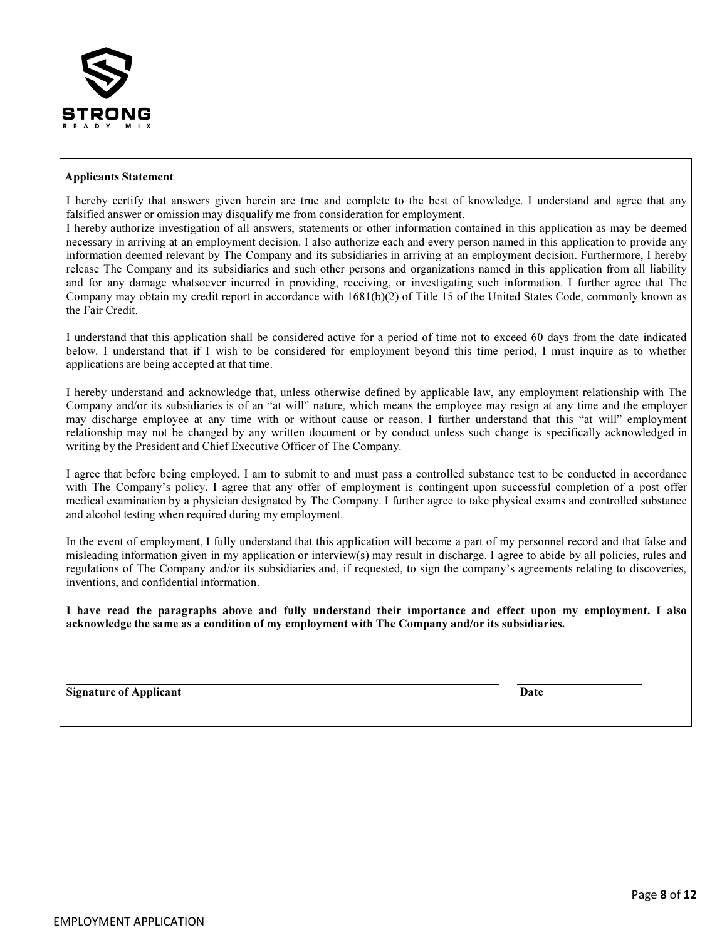

#### Applicants Statement

I hereby certify that answers given herein are true and complete to the best of knowledge. I understand and agree that any falsified answer or omission may disqualify me from consideration for employment.

I hereby authorize investigation of all answers, statements or other information contained in this application as may be deemed necessary in arriving at an employment decision. I also authorize each and every person named in this application to provide any information deemed relevant by The Company and its subsidiaries in arriving at an employment decision. Furthermore, I hereby release The Company and its subsidiaries and such other persons and organizations named in this application from all liability and for any damage whatsoever incurred in providing, receiving, or investigating such information. I further agree that The Company may obtain my credit report in accordance with 1681(b)(2) of Title 15 of the United States Code, commonly known as the Fair Credit.

I understand that this application shall be considered active for a period of time not to exceed 60 days from the date indicated below. I understand that if I wish to be considered for employment beyond this time period, I must inquire as to whether applications are being accepted at that time.

I hereby understand and acknowledge that, unless otherwise defined by applicable law, any employment relationship with The Company and/or its subsidiaries is of an "at will" nature, which means the employee may resign at any time and the employer may discharge employee at any time with or without cause or reason. I further understand that this "at will" employment relationship may not be changed by any written document or by conduct unless such change is specifically acknowledged in writing by the President and Chief Executive Officer of The Company.

I agree that before being employed, I am to submit to and must pass a controlled substance test to be conducted in accordance with The Company's policy. I agree that any offer of employment is contingent upon successful completion of a post offer medical examination by a physician designated by The Company. I further agree to take physical exams and controlled substance and alcohol testing when required during my employment.

In the event of employment, I fully understand that this application will become a part of my personnel record and that false and misleading information given in my application or interview(s) may result in discharge. I agree to abide by all policies, rules and regulations of The Company and/or its subsidiaries and, if requested, to sign the company's agreements relating to discoveries, inventions, and confidential information.

I have read the paragraphs above and fully understand their importance and effect upon my employment. I also acknowledge the same as a condition of my employment with The Company and/or its subsidiaries.

Signature of Applicant Date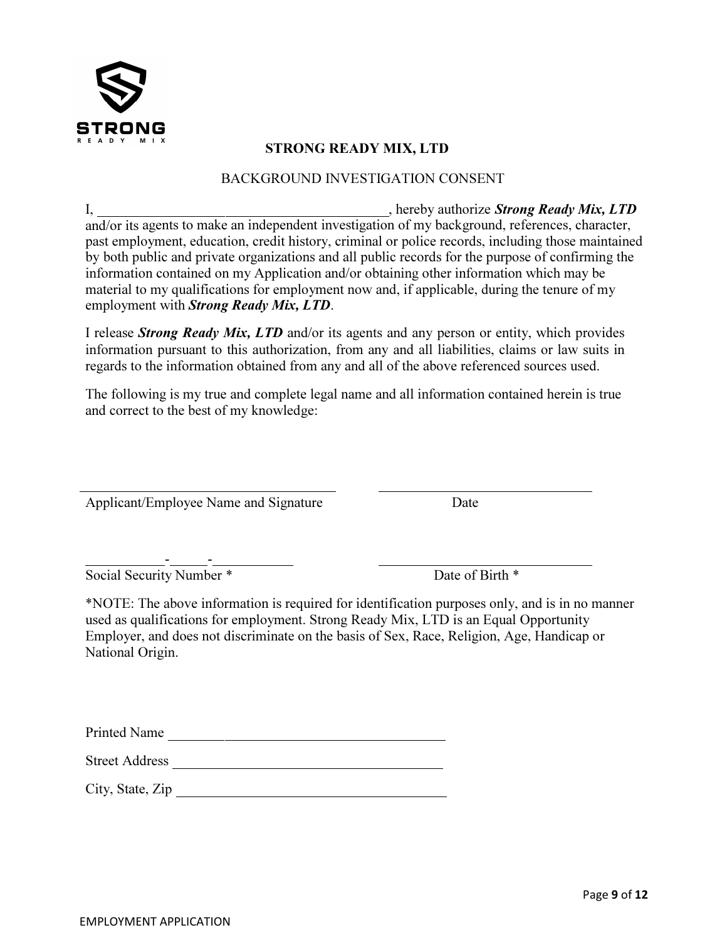

## STRONG READY MIX, LTD

### BACKGROUND INVESTIGATION CONSENT

I, 1. **hereby authorize Strong Ready Mix, LTD** and/or its agents to make an independent investigation of my background, references, character, past employment, education, credit history, criminal or police records, including those maintained by both public and private organizations and all public records for the purpose of confirming the information contained on my Application and/or obtaining other information which may be material to my qualifications for employment now and, if applicable, during the tenure of my employment with **Strong Ready Mix, LTD**.

I release **Strong Ready Mix, LTD** and/or its agents and any person or entity, which provides information pursuant to this authorization, from any and all liabilities, claims or law suits in regards to the information obtained from any and all of the above referenced sources used.

The following is my true and complete legal name and all information contained herein is true and correct to the best of my knowledge:

Applicant/Employee Name and Signature Date

 - - Social Security Number \* Date of Birth \*

 $\overline{a}$ 

\*NOTE: The above information is required for identification purposes only, and is in no manner used as qualifications for employment. Strong Ready Mix, LTD is an Equal Opportunity Employer, and does not discriminate on the basis of Sex, Race, Religion, Age, Handicap or National Origin.

Printed Name

Street Address

City, State, Zip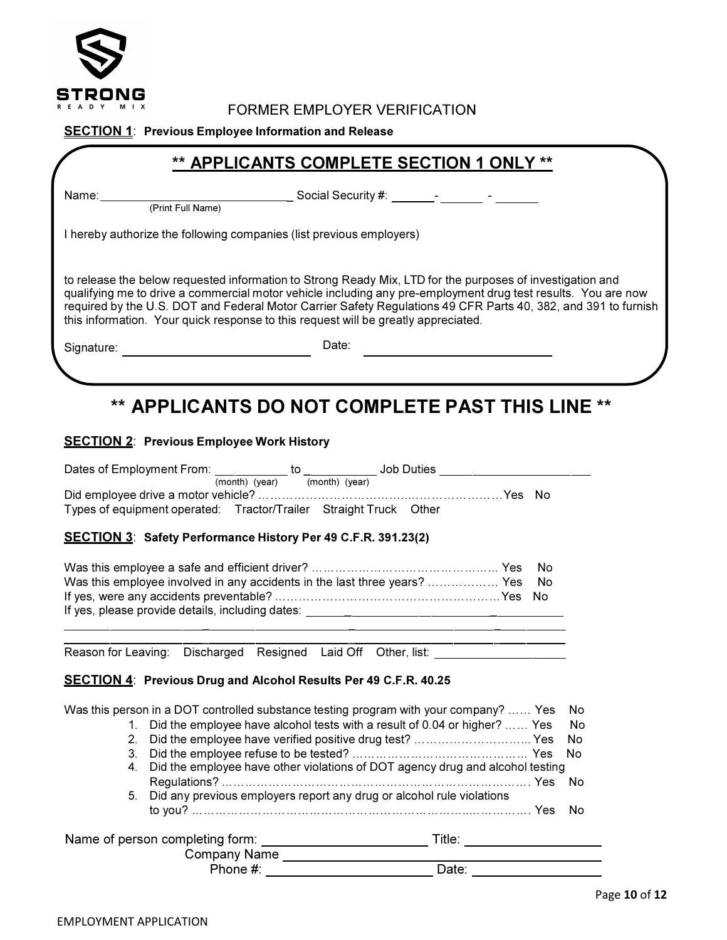

## FORMER EMPLOYER VERIFICATION

#### **SECTION 1:** Previous Employee Information and Release

## \*\* APPLICANTS COMPLETE SECTION 1 ONLY \*\*

Name:

(Print Full Name)

\_ Social Security #: \_\_\_\_\_\_\_-

I hereby authorize the following companies (list previous employers)

to release the below requested information to Strong Ready Mix, LTD for the purposes of investigation and qualifying me to drive a commercial motor vehicle including any pre-employment drug test results. You are now required by the U.S. DOT and Federal Motor Carrier Safety Regulations 49 CFR Parts 40, 382, and 391 to furnish this information. Your quick response to this request will be greatly appreciated.

Signature: **Date:** Date: **Date:** Date:

# \*\* APPLICANTS DO NOT COMPLETE PAST THIS LINE \*\*

#### SECTION 2: Previous Employee Work History

|                           | Dates of Employment From: ___________ to ___________ Job Duties ________________      |                                                                                                                                                                                                                                     |  |                                                                                                                       |    |      |
|---------------------------|---------------------------------------------------------------------------------------|-------------------------------------------------------------------------------------------------------------------------------------------------------------------------------------------------------------------------------------|--|-----------------------------------------------------------------------------------------------------------------------|----|------|
|                           |                                                                                       | (month) (year) $\overline{(month)}$ (year)                                                                                                                                                                                          |  |                                                                                                                       |    |      |
|                           |                                                                                       |                                                                                                                                                                                                                                     |  |                                                                                                                       |    |      |
|                           | Types of equipment operated: Tractor/Trailer Straight Truck Other                     |                                                                                                                                                                                                                                     |  |                                                                                                                       |    |      |
|                           |                                                                                       |                                                                                                                                                                                                                                     |  |                                                                                                                       |    |      |
|                           | <b>SECTION 3: Safety Performance History Per 49 C.F.R. 391.23(2)</b>                  |                                                                                                                                                                                                                                     |  |                                                                                                                       |    |      |
|                           |                                                                                       |                                                                                                                                                                                                                                     |  |                                                                                                                       | No |      |
|                           | Was this employee involved in any accidents in the last three years?  Yes             |                                                                                                                                                                                                                                     |  |                                                                                                                       | No |      |
|                           |                                                                                       |                                                                                                                                                                                                                                     |  |                                                                                                                       |    |      |
|                           |                                                                                       |                                                                                                                                                                                                                                     |  |                                                                                                                       |    |      |
|                           |                                                                                       |                                                                                                                                                                                                                                     |  |                                                                                                                       |    |      |
|                           |                                                                                       |                                                                                                                                                                                                                                     |  | <u> 1989 - Johann Harry Harry Harry Harry Harry Harry Harry Harry Harry Harry Harry Harry Harry Harry Harry Harry</u> |    |      |
|                           | Reason for Leaving: Discharged Resigned Laid Off Other, list: __________________      |                                                                                                                                                                                                                                     |  |                                                                                                                       |    |      |
|                           |                                                                                       |                                                                                                                                                                                                                                     |  |                                                                                                                       |    |      |
|                           | <b>SECTION 4: Previous Drug and Alcohol Results Per 49 C.F.R. 40.25</b>               |                                                                                                                                                                                                                                     |  |                                                                                                                       |    |      |
|                           | Was this person in a DOT controlled substance testing program with your company?  Yes |                                                                                                                                                                                                                                     |  |                                                                                                                       |    | No.  |
|                           |                                                                                       |                                                                                                                                                                                                                                     |  |                                                                                                                       |    |      |
| $1_{-}$<br>2 <sub>1</sub> | Did the employee have alcohol tests with a result of 0.04 or higher?  Yes             |                                                                                                                                                                                                                                     |  |                                                                                                                       |    | No   |
|                           | Did the employee have verified positive drug test?  Yes                               |                                                                                                                                                                                                                                     |  |                                                                                                                       |    | No.  |
| 3.                        |                                                                                       |                                                                                                                                                                                                                                     |  |                                                                                                                       |    | No   |
| 4.                        | Did the employee have other violations of DOT agency drug and alcohol testing         |                                                                                                                                                                                                                                     |  |                                                                                                                       |    |      |
|                           |                                                                                       |                                                                                                                                                                                                                                     |  |                                                                                                                       |    | - No |
|                           | 5. Did any previous employers report any drug or alcohol rule violations              |                                                                                                                                                                                                                                     |  |                                                                                                                       |    |      |
|                           |                                                                                       |                                                                                                                                                                                                                                     |  |                                                                                                                       |    | No.  |
|                           |                                                                                       |                                                                                                                                                                                                                                     |  |                                                                                                                       |    |      |
|                           |                                                                                       |                                                                                                                                                                                                                                     |  |                                                                                                                       |    |      |
|                           |                                                                                       | Phone #: <u>New York: Date:</u> Date: New York: New York: New York: New York: New York: New York: New York: New York: New York: New York: New York: New York: New York: New York: New York: New York: New York: New York: New York: |  |                                                                                                                       |    |      |
|                           |                                                                                       |                                                                                                                                                                                                                                     |  |                                                                                                                       |    |      |
|                           |                                                                                       |                                                                                                                                                                                                                                     |  |                                                                                                                       |    |      |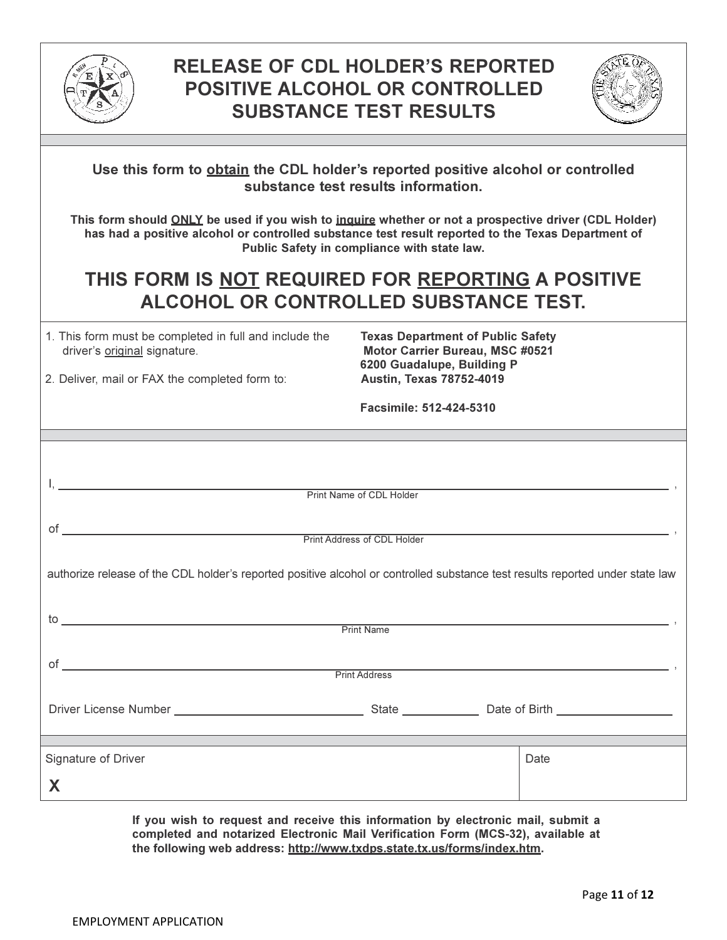



| Use this form to <b>obtain</b> the CDL holder's reported positive alcohol or controlled |  |  |
|-----------------------------------------------------------------------------------------|--|--|
| substance test results information.                                                     |  |  |

This form should ONLY be used if you wish to inquire whether or not a prospective driver (CDL Holder) has had a positive alcohol or controlled substance test result reported to the Texas Department of Public Safety in compliance with state law.

# THIS FORM IS NOT REQUIRED FOR REPORTING A POSITIVE ALCOHOL OR CONTROLLED SUBSTANCE TEST.

| 1. This form must be completed in full and include the |  |
|--------------------------------------------------------|--|
| driver's original signature.                           |  |

Texas Department of Public Safety Motor Carrier Bureau, MSC #0521 6200 Guadalupe, Building P

2. Deliver, mail or FAX the completed form to: **Austin, Texas 78752-4019** 

Facsimile: 512-424-5310

I, , Print Name of CDL Holder

of , Print Address of CDL Holder

authorize release of the CDL holder's reported positive alcohol or controlled substance test results reported under state law

| to                       | <b>Print Name</b>    |                                  |
|--------------------------|----------------------|----------------------------------|
| of                       | <b>Print Address</b> |                                  |
|                          |                      | State <b>State</b> Date of Birth |
| Signature of Driver<br>X |                      | Date                             |

If you wish to request and receive this information by electronic mail, submit a completed and notarized Electronic Mail Verification Form (MCS-32), available at the following web address: http://www.txdps.state.tx.us/forms/index.htm.